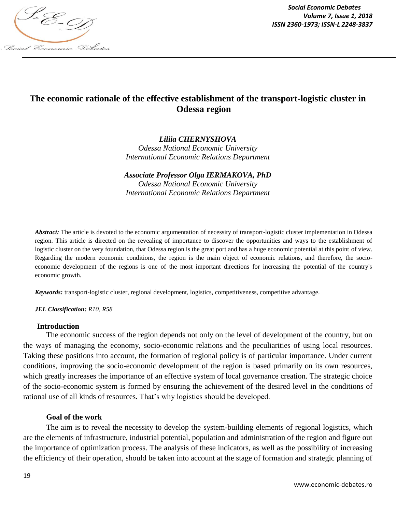

*Social Economic Debates Volume 7, Issue 1, 2018*

# **The economic rationale of the effective establishment of the transport-logistic cluster in Odessa region**

*Liliia CHERNYSHOVA* 

*Odessa National Economic University International Economic Relations Department*

*Associate Professor Olga IERMAKOVA, PhD Odessa National Economic University International Economic Relations Department*

*Abstract:* The article is devoted to the economic argumentation of necessity of transport-logistic cluster implementation in Odessa region. This article is directed on the revealing of importance to discover the opportunities and ways to the establishment of logistic cluster on the very foundation, that Odessa region is the great port and has a huge economic potential at this point of view. Regarding the modern economic conditions, the region is the main object of economic relations, and therefore, the socioeconomic development of the regions is one of the most important directions for increasing the potential of the country's economic growth.

*Keywords:* transport-logistic cluster, regional development, logistics, competitiveness, competitive advantage.

*JEL Classification: R10, R58*

#### **Introduction**

The economic success of the region depends not only on the level of development of the country, but on the ways of managing the economy, socio-economic relations and the peculiarities of using local resources. Taking these positions into account, the formation of regional policy is of particular importance. Under current conditions, improving the socio-economic development of the region is based primarily on its own resources, which greatly increases the importance of an effective system of local governance creation. The strategic choice of the socio-economic system is formed by ensuring the achievement of the desired level in the conditions of rational use of all kinds of resources. That's why logistics should be developed.

## **Goal of the work**

The aim is to reveal the necessity to develop the system-building elements of regional logistics, which are the elements of infrastructure, industrial potential, population and administration of the region and figure out the importance of optimization process. The analysis of these indicators, as well as the possibility of increasing the efficiency of their operation, should be taken into account at the stage of formation and strategic planning of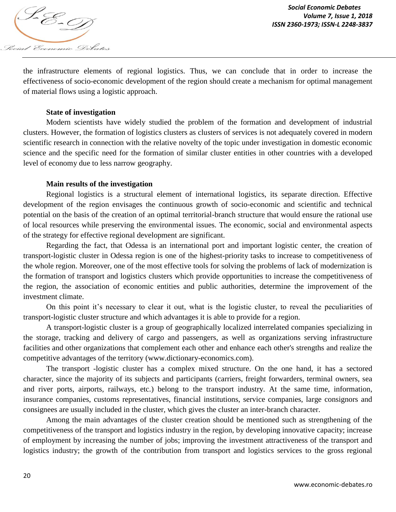

the infrastructure elements of regional logistics. Thus, we can conclude that in order to increase the effectiveness of socio-economic development of the region should create a mechanism for optimal management of material flows using a logistic approach.

#### **State of investigation**

Modern scientists have widely studied the problem of the formation and development of industrial clusters. However, the formation of logistics clusters as clusters of services is not adequately covered in modern scientific research in connection with the relative novelty of the topic under investigation in domestic economic science and the specific need for the formation of similar cluster entities in other countries with a developed level of economy due to less narrow geography.

#### **Main results of the investigation**

Regional logistics is a structural element of international logistics, its separate direction. Effective development of the region envisages the continuous growth of socio-economic and scientific and technical potential on the basis of the creation of an optimal territorial-branch structure that would ensure the rational use of local resources while preserving the environmental issues. The economic, social and environmental aspects of the strategy for effective regional development are significant.

Regarding the fact, that Odessa is an international port and important logistic center, the creation of transport-logistic cluster in Odessa region is one of the highest-priority tasks to increase to competitiveness of the whole region. Moreover, one of the most effective tools for solving the problems of lack of modernization is the formation of transport and logistics clusters which provide opportunities to increase the competitiveness of the region, the association of economic entities and public authorities, determine the improvement of the investment climate.

On this point it's necessary to clear it out, what is the logistic cluster, to reveal the peculiarities of transport-logistic cluster structure and which advantages it is able to provide for a region.

A transport-logistic cluster is a group of geographically localized interrelated companies specializing in the storage, tracking and delivery of cargo and passengers, as well as organizations serving infrastructure facilities and other organizations that complement each other and enhance each other's strengths and realize the competitive advantages of the territory (www.dictionary-economics.com).

The transport -logistic cluster has a complex mixed structure. On the one hand, it has a sectored character, since the majority of its subjects and participants (carriers, freight forwarders, terminal owners, sea and river ports, airports, railways, etc.) belong to the transport industry. At the same time, information, insurance companies, customs representatives, financial institutions, service companies, large consignors and consignees are usually included in the cluster, which gives the cluster an inter-branch character.

Among the main advantages of the cluster creation should be mentioned such as strengthening of the competitiveness of the transport and logistics industry in the region, by developing innovative capacity; increase of employment by increasing the number of jobs; improving the investment attractiveness of the transport and logistics industry; the growth of the contribution from transport and logistics services to the gross regional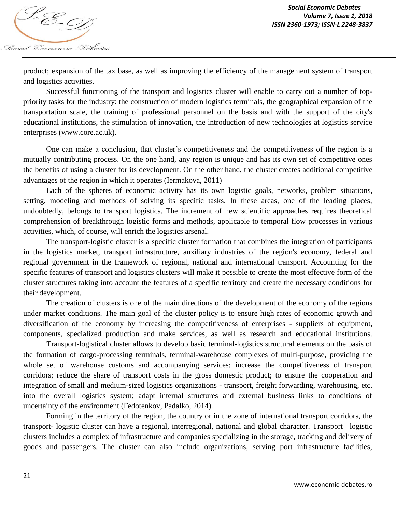

product; expansion of the tax base, as well as improving the efficiency of the management system of transport and logistics activities.

Successful functioning of the transport and logistics cluster will enable to carry out a number of toppriority tasks for the industry: the construction of modern logistics terminals, the geographical expansion of the transportation scale, the training of professional personnel on the basis and with the support of the city's educational institutions, the stimulation of innovation, the introduction of new technologies at logistics service enterprises (www.core.ac.uk).

One can make a conclusion, that cluster's competitiveness and the competitiveness of the region is a mutually contributing process. On the one hand, any region is unique and has its own set of competitive ones the benefits of using a cluster for its development. On the other hand, the cluster creates additional competitive advantages of the region in which it operates (Iermakova, 2011)

Each of the spheres of economic activity has its own logistic goals, networks, problem situations, setting, modeling and methods of solving its specific tasks. In these areas, one of the leading places, undoubtedly, belongs to transport logistics. The increment of new scientific approaches requires theoretical comprehension of breakthrough logistic forms and methods, applicable to temporal flow processes in various activities, which, of course, will enrich the logistics arsenal.

The transport-logistic cluster is a specific cluster formation that combines the integration of participants in the logistics market, transport infrastructure, auxiliary industries of the region's economy, federal and regional government in the framework of regional, national and international transport. Accounting for the specific features of transport and logistics clusters will make it possible to create the most effective form of the cluster structures taking into account the features of a specific territory and create the necessary conditions for their development.

The creation of clusters is one of the main directions of the development of the economy of the regions under market conditions. The main goal of the cluster policy is to ensure high rates of economic growth and diversification of the economy by increasing the competitiveness of enterprises - suppliers of equipment, components, specialized production and make services, as well as research and educational institutions.

Transport-logistical cluster allows to develop basic terminal-logistics structural elements on the basis of the formation of cargo-processing terminals, terminal-warehouse complexes of multi-purpose, providing the whole set of warehouse customs and accompanying services; increase the competitiveness of transport corridors; reduce the share of transport costs in the gross domestic product; to ensure the cooperation and integration of small and medium-sized logistics organizations - transport, freight forwarding, warehousing, etc. into the overall logistics system; adapt internal structures and external business links to conditions of uncertainty of the environment (Fedotenkov, Padalko, 2014).

Forming in the territory of the region, the country or in the zone of international transport corridors, the transport- logistic cluster can have a regional, interregional, national and global character. Transport –logistic clusters includes a complex of infrastructure and companies specializing in the storage, tracking and delivery of goods and passengers. The cluster can also include organizations, serving port infrastructure facilities,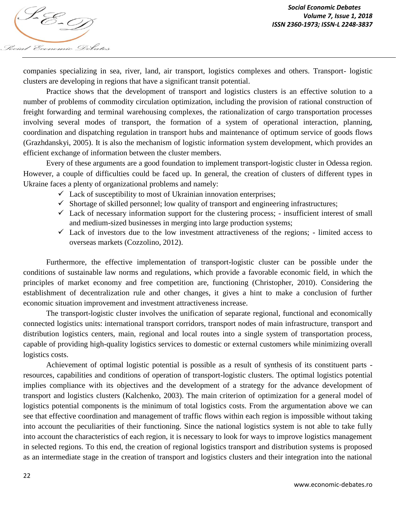

companies specializing in sea, river, land, air transport, logistics complexes and others. Transport- logistic clusters are developing in regions that have a significant transit potential.

Practice shows that the development of transport and logistics clusters is an effective solution to a number of problems of commodity circulation optimization, including the provision of rational construction of freight forwarding and terminal warehousing complexes, the rationalization of cargo transportation processes involving several modes of transport, the formation of a system of operational interaction, planning, coordination and dispatching regulation in transport hubs and maintenance of optimum service of goods flows (Grazhdanskyi, 2005). It is also the mechanism of logistic information system development, which provides an efficient exchange of information between the cluster members.

Every of these arguments are a good foundation to implement transport-logistic cluster in Odessa region. However, a couple of difficulties could be faced up. In general, the creation of clusters of different types in Ukraine faces a plenty of organizational problems and namely:

- $\checkmark$  Lack of susceptibility to most of Ukrainian innovation enterprises;
- $\checkmark$  Shortage of skilled personnel; low quality of transport and engineering infrastructures;
- $\checkmark$  Lack of necessary information support for the clustering process; insufficient interest of small and medium-sized businesses in merging into large production systems;
- $\checkmark$  Lack of investors due to the low investment attractiveness of the regions; limited access to overseas markets (Cozzolino, 2012).

Furthermore, the effective implementation of transport-logistic cluster can be possible under the conditions of sustainable law norms and regulations, which provide a favorable economic field, in which the principles of market economy and free competition are, functioning (Christopher, 2010). Considering the establishment of decentralization rule and other changes, it gives a hint to make a conclusion of further economic situation improvement and investment attractiveness increase.

The transport-logistic cluster involves the unification of separate regional, functional and economically connected logistics units: international transport corridors, transport nodes of main infrastructure, transport and distribution logistics centers, main, regional and local routes into a single system of transportation process, capable of providing high-quality logistics services to domestic or external customers while minimizing overall logistics costs.

Achievement of optimal logistic potential is possible as a result of synthesis of its constituent parts resources, capabilities and conditions of operation of transport-logistic clusters. The optimal logistics potential implies compliance with its objectives and the development of a strategy for the advance development of transport and logistics clusters (Kalchenko, 2003). The main criterion of optimization for a general model of logistics potential components is the minimum of total logistics costs. From the argumentation above we can see that effective coordination and management of traffic flows within each region is impossible without taking into account the peculiarities of their functioning. Since the national logistics system is not able to take fully into account the characteristics of each region, it is necessary to look for ways to improve logistics management in selected regions. To this end, the creation of regional logistics transport and distribution systems is proposed as an intermediate stage in the creation of transport and logistics clusters and their integration into the national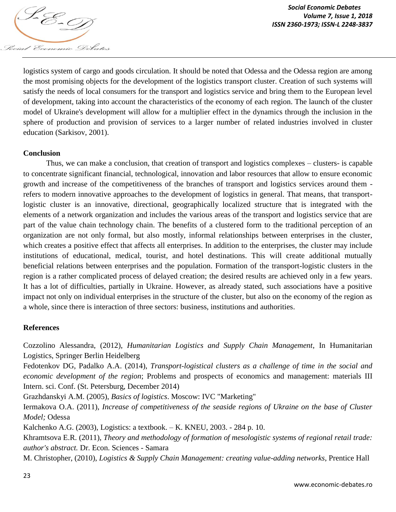

logistics system of cargo and goods circulation. It should be noted that Odessa and the Odessa region are among the most promising objects for the development of the logistics transport cluster. Creation of such systems will satisfy the needs of local consumers for the transport and logistics service and bring them to the European level of development, taking into account the characteristics of the economy of each region. The launch of the cluster model of Ukraine's development will allow for a multiplier effect in the dynamics through the inclusion in the sphere of production and provision of services to a larger number of related industries involved in cluster education (Sarkisov, 2001).

## **Conclusion**

Thus, we can make a conclusion, that creation of transport and logistics complexes – clusters- is capable to concentrate significant financial, technological, innovation and labor resources that allow to ensure economic growth and increase of the competitiveness of the branches of transport and logistics services around them refers to modern innovative approaches to the development of logistics in general. That means, that transportlogistic cluster is an innovative, directional, geographically localized structure that is integrated with the elements of a network organization and includes the various areas of the transport and logistics service that are part of the value chain technology chain. The benefits of a clustered form to the traditional perception of an organization are not only formal, but also mostly, informal relationships between enterprises in the cluster, which creates a positive effect that affects all enterprises. In addition to the enterprises, the cluster may include institutions of educational, medical, tourist, and hotel destinations. This will create additional mutually beneficial relations between enterprises and the population. Formation of the transport-logistic clusters in the region is a rather complicated process of delayed creation; the desired results are achieved only in a few years. It has a lot of difficulties, partially in Ukraine. However, as already stated, such associations have a positive impact not only on individual enterprises in the structure of the cluster, but also on the economy of the region as a whole, since there is interaction of three sectors: business, institutions and authorities.

## **References**

Cozzolino Alessandra, (2012), *Humanitarian Logistics and Supply Chain Management*, In Humanitarian Logistics, Springer Berlin Heidelberg

Fedotenkov DG, Padalko A.A. (2014), *Transport-logistical clusters as a challenge of time in the social and economic development of the region*; Problems and prospects of economics and management: materials III Intern. sci. Conf. (St. Petersburg, December 2014)

Grazhdanskyi A.M. (2005), *Basics of logistics*. Moscow: IVC "Marketing"

Iermakova O.A. (2011), *Increase of competitiveness of the seaside regions of Ukraine on the base of Cluster Model;* Odessa

Kalchenko A.G. (2003), Logistics: a textbook. – K. KNEU, 2003. - 284 p. 10.

Khramtsova E.R. (2011), *Theory and methodology of formation of mesologistic systems of regional retail trade: author's abstract.* Dr. Econ. Sciences - Samara

M. Christopher, (2010), *Logistics & Supply Chain Management: creating value-adding networks*, Prentice Hall